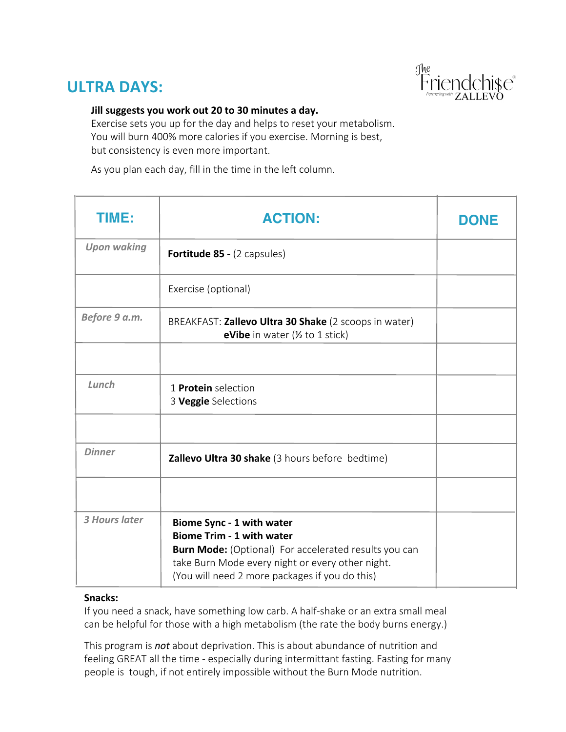### **ULTRA DAYS:**



#### **Jill suggests you work out 20 to 30 minutes a day.**

Exercise sets you up for the day and helps to reset your metabolism. You will burn 400% more calories if you exercise. Morning is best, but consistency is even more important.

As you plan each day, fill in the time in the left column.

| TIME:              | <b>ACTION:</b>                                                                                                                                                                                                                      | <b>DONE</b> |
|--------------------|-------------------------------------------------------------------------------------------------------------------------------------------------------------------------------------------------------------------------------------|-------------|
| <b>Upon waking</b> | Fortitude 85 - (2 capsules)                                                                                                                                                                                                         |             |
|                    | Exercise (optional)                                                                                                                                                                                                                 |             |
| Before 9 a.m.      | BREAKFAST: Zallevo Ultra 30 Shake (2 scoops in water)<br><b>eVibe</b> in water $(\frac{1}{2})$ to 1 stick)                                                                                                                          |             |
|                    |                                                                                                                                                                                                                                     |             |
| Lunch              | 1 <b>Protein</b> selection<br>3 Veggie Selections                                                                                                                                                                                   |             |
|                    |                                                                                                                                                                                                                                     |             |
| <b>Dinner</b>      | Zallevo Ultra 30 shake (3 hours before bedtime)                                                                                                                                                                                     |             |
|                    |                                                                                                                                                                                                                                     |             |
| 3 Hours later      | Biome Sync - 1 with water<br><b>Biome Trim - 1 with water</b><br><b>Burn Mode:</b> (Optional) For accelerated results you can<br>take Burn Mode every night or every other night.<br>(You will need 2 more packages if you do this) |             |

#### **Snacks:**

If you need a snack, have something low carb. A half-shake or an extra small meal can be helpful for those with a high metabolism (the rate the body burns energy.)

This program is *not* about deprivation. This is about abundance of nutrition and feeling GREAT all the time - especially during intermittant fasting. Fasting for many people is tough, if not entirely impossible without the Burn Mode nutrition.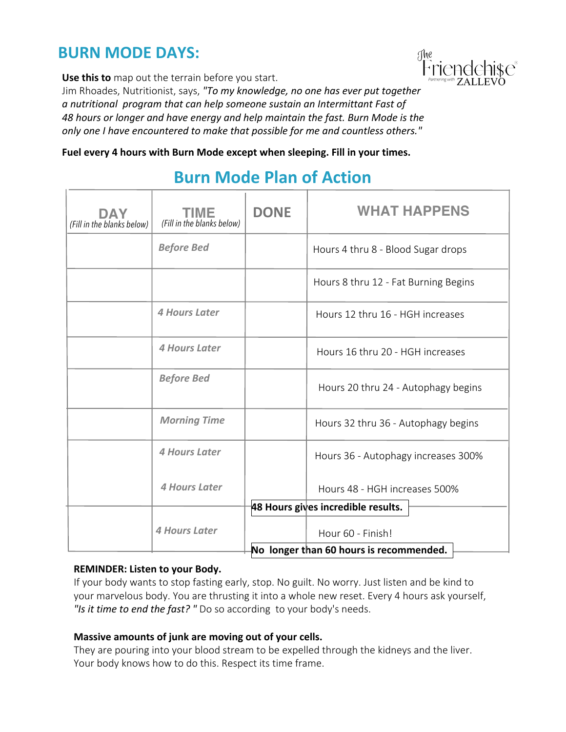### **BURN MODE DAYS:**

**Use this to** map out the terrain before you start.

Jim Rhoades, Nutritionist, says, *"To my knowledge, no one has ever put together a nutritional program that can help someone sustain an Intermittant Fast of 48 hours or longer and have energy and help maintain the fast. Burn Mode is the only one I have encountered to make that possible for me and countless others."*

**Fuel every 4 hours with Burn Mode except when sleeping. Fill in your times.**

## **Burn Mode Plan of Action**

| DAY<br>(Fill in the blanks below)       | TIME<br>(Fill in the blanks below) | <b>DONE</b> | <b>WHAT HAPPENS</b>                                                  |  |  |  |
|-----------------------------------------|------------------------------------|-------------|----------------------------------------------------------------------|--|--|--|
|                                         | <b>Before Bed</b>                  |             | Hours 4 thru 8 - Blood Sugar drops                                   |  |  |  |
|                                         |                                    |             | Hours 8 thru 12 - Fat Burning Begins                                 |  |  |  |
|                                         | 4 Hours Later                      |             | Hours 12 thru 16 - HGH increases                                     |  |  |  |
|                                         | 4 Hours Later                      |             | Hours 16 thru 20 - HGH increases                                     |  |  |  |
|                                         | <b>Before Bed</b>                  |             | Hours 20 thru 24 - Autophagy begins                                  |  |  |  |
|                                         | <b>Morning Time</b>                |             | Hours 32 thru 36 - Autophagy begins                                  |  |  |  |
|                                         | <b>4 Hours Later</b>               |             | Hours 36 - Autophagy increases 300%<br>Hours 48 - HGH increases 500% |  |  |  |
|                                         | 4 Hours Later                      |             |                                                                      |  |  |  |
|                                         |                                    |             | 48 Hours gives incredible results.                                   |  |  |  |
|                                         | 4 Hours Later                      |             | Hour 60 - Finish!                                                    |  |  |  |
| No longer than 60 hours is recommended. |                                    |             |                                                                      |  |  |  |

#### **REMINDER: Listen to your Body.**

If your body wants to stop fasting early, stop. No guilt. No worry. Just listen and be kind to your marvelous body. You are thrusting it into a whole new reset. Every 4 hours ask yourself, *"Is it time to end the fast? "* Do so according to your body's needs.

#### **Massive amounts of junk are moving out of your cells.**

They are pouring into your blood stream to be expelled through the kidneys and the liver. Your body knows how to do this. Respect its time frame.

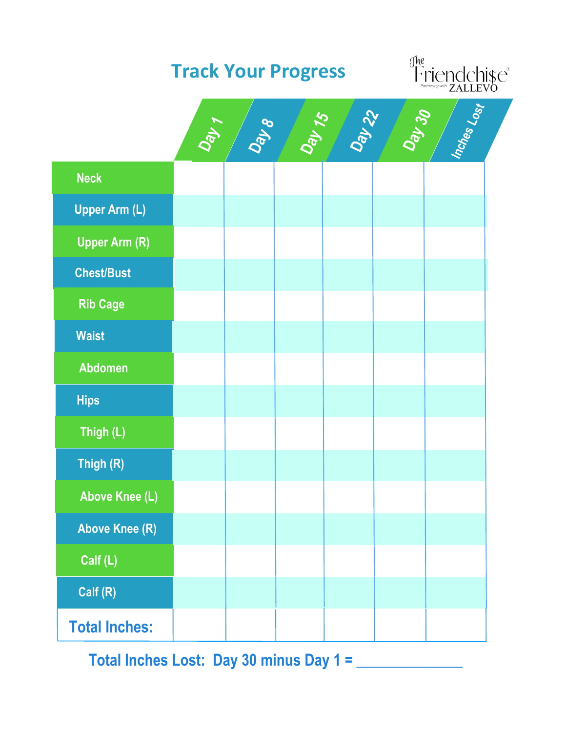

**Total Inches Lost: Day 30 minus Day 1 = \_\_\_\_\_\_\_\_\_\_\_\_\_\_**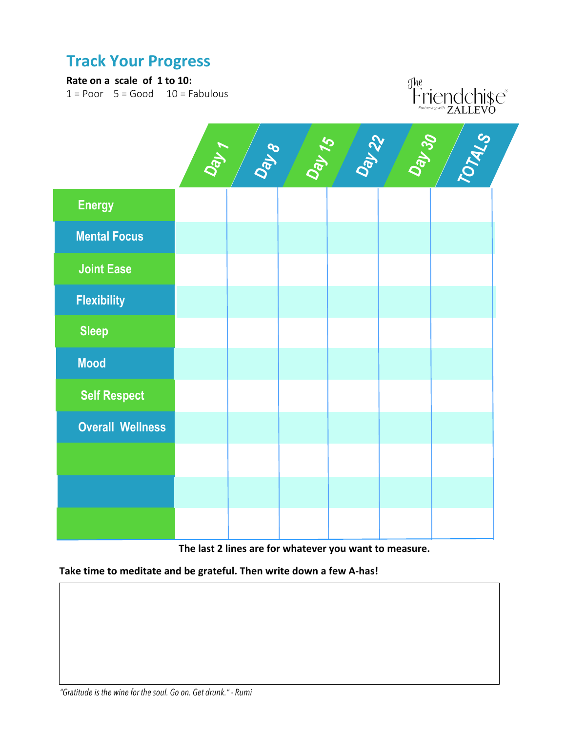### **Track Your Progress**

#### **Rate on a scale of 1 to 10:**

 $1 =$  Poor  $5 =$  Good  $10 =$  Fabulous





**The last 2 lines are for whatever you want to measure.**

**Take time to meditate and be grateful. Then write down a few A-has!**

**Calf (L)**